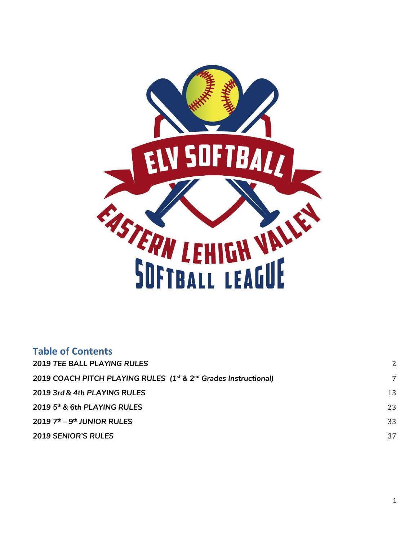

| <b>Table of Contents</b>                                                                |    |
|-----------------------------------------------------------------------------------------|----|
| <b>2019 TEE BALL PLAYING RULES</b>                                                      | 2  |
| 2019 COACH PITCH PLAYING RULES (1 <sup>st</sup> & 2 <sup>nd</sup> Grades Instructional) | 7  |
| 2019 3rd & 4th PLAYING RULES                                                            | 13 |
| 2019 5th & 6th PLAYING RULES                                                            | 23 |
| $2019$ $7th - 9th$ JUNIOR RULES                                                         | 33 |
| <b>2019 SENIOR'S RULES</b>                                                              | 37 |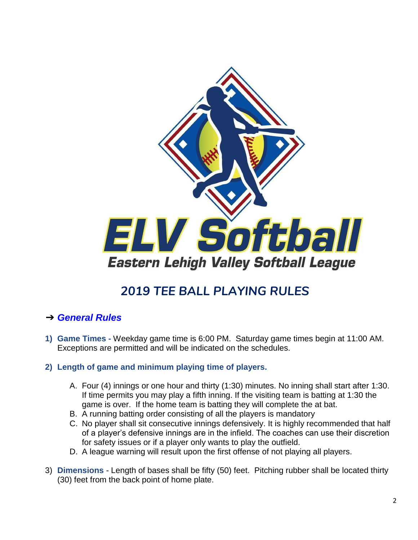

# *2019 TEE BALL PLAYING RULES*

## <span id="page-1-0"></span>➔ *General Rules*

- **1) Game Times -** Weekday game time is 6:00 PM. Saturday game times begin at 11:00 AM. Exceptions are permitted and will be indicated on the schedules.
- **2) Length of game and minimum playing time of players.**
	- A. Four (4) innings or one hour and thirty (1:30) minutes. No inning shall start after 1:30. If time permits you may play a fifth inning. If the visiting team is batting at 1:30 the game is over. If the home team is batting they will complete the at bat.
	- B. A running batting order consisting of all the players is mandatory
	- C. No player shall sit consecutive innings defensively. It is highly recommended that half of a player's defensive innings are in the infield. The coaches can use their discretion for safety issues or if a player only wants to play the outfield.
	- D. A league warning will result upon the first offense of not playing all players.
- 3) **Dimensions** Length of bases shall be fifty (50) feet. Pitching rubber shall be located thirty (30) feet from the back point of home plate.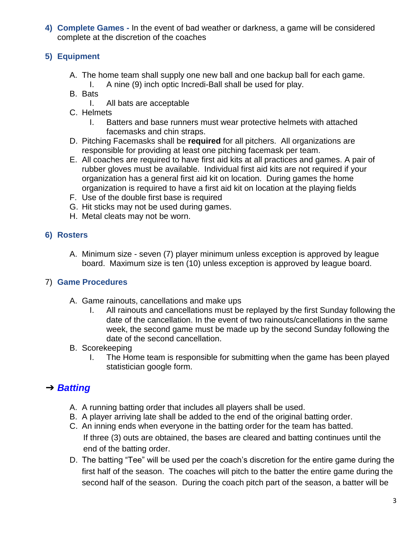**4) Complete Games -** In the event of bad weather or darkness, a game will be considered complete at the discretion of the coaches

### **5) Equipment**

- A. The home team shall supply one new ball and one backup ball for each game.
	- I. A nine (9) inch optic Incredi-Ball shall be used for play.
- B. Bats
	- I. All bats are acceptable
- C. Helmets
	- I. Batters and base runners must wear protective helmets with attached facemasks and chin straps.
- D. Pitching Facemasks shall be **required** for all pitchers. All organizations are responsible for providing at least one pitching facemask per team.
- E. All coaches are required to have first aid kits at all practices and games. A pair of rubber gloves must be available. Individual first aid kits are not required if your organization has a general first aid kit on location. During games the home organization is required to have a first aid kit on location at the playing fields
- F. Use of the double first base is required
- G. Hit sticks may not be used during games.
- H. Metal cleats may not be worn.

#### **6) Rosters**

A. Minimum size - seven (7) player minimum unless exception is approved by league board. Maximum size is ten (10) unless exception is approved by league board.

#### 7) **Game Procedures**

- A. Game rainouts, cancellations and make ups
	- I. All rainouts and cancellations must be replayed by the first Sunday following the date of the cancellation. In the event of two rainouts/cancellations in the same week, the second game must be made up by the second Sunday following the date of the second cancellation.

#### B. Scorekeeping

I. The Home team is responsible for submitting when the game has been played statistician google form.

## ➔ *Batting*

- A. A running batting order that includes all players shall be used.
- B. A player arriving late shall be added to the end of the original batting order.
- C. An inning ends when everyone in the batting order for the team has batted. If three (3) outs are obtained, the bases are cleared and batting continues until the end of the batting order.
- D. The batting "Tee" will be used per the coach's discretion for the entire game during the first half of the season. The coaches will pitch to the batter the entire game during the second half of the season. During the coach pitch part of the season, a batter will be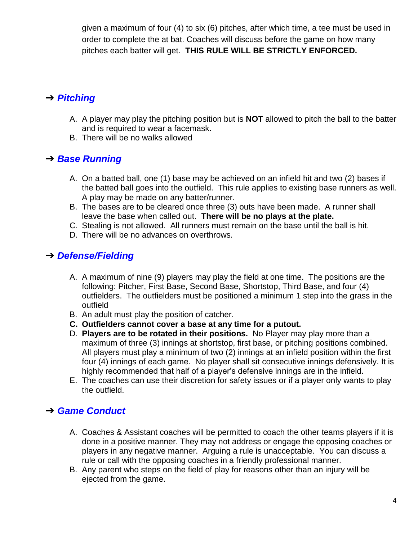given a maximum of four (4) to six (6) pitches, after which time, a tee must be used in order to complete the at bat. Coaches will discuss before the game on how many pitches each batter will get. **THIS RULE WILL BE STRICTLY ENFORCED.**

# ➔ *Pitching*

- A. A player may play the pitching position but is **NOT** allowed to pitch the ball to the batter and is required to wear a facemask.
- B. There will be no walks allowed

## ➔ *Base Running*

- A. On a batted ball, one (1) base may be achieved on an infield hit and two (2) bases if the batted ball goes into the outfield. This rule applies to existing base runners as well. A play may be made on any batter/runner.
- B. The bases are to be cleared once three (3) outs have been made. A runner shall leave the base when called out. **There will be no plays at the plate.**
- C. Stealing is not allowed. All runners must remain on the base until the ball is hit.
- D. There will be no advances on overthrows.

## ➔ *Defense/Fielding*

- A. A maximum of nine (9) players may play the field at one time. The positions are the following: Pitcher, First Base, Second Base, Shortstop, Third Base, and four (4) outfielders. The outfielders must be positioned a minimum 1 step into the grass in the outfield
- B. An adult must play the position of catcher.
- **C. Outfielders cannot cover a base at any time for a putout.**
- D. **Players are to be rotated in their positions.** No Player may play more than a maximum of three (3) innings at shortstop, first base, or pitching positions combined. All players must play a minimum of two (2) innings at an infield position within the first four (4) innings of each game. No player shall sit consecutive innings defensively. It is highly recommended that half of a player's defensive innings are in the infield.
- E. The coaches can use their discretion for safety issues or if a player only wants to play the outfield.

# ➔ *Game Conduct*

- A. Coaches & Assistant coaches will be permitted to coach the other teams players if it is done in a positive manner. They may not address or engage the opposing coaches or players in any negative manner. Arguing a rule is unacceptable. You can discuss a rule or call with the opposing coaches in a friendly professional manner.
- B. Any parent who steps on the field of play for reasons other than an injury will be ejected from the game.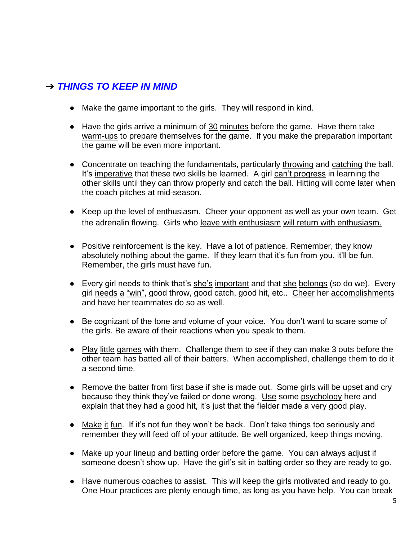# ➔ *THINGS TO KEEP IN MIND*

- Make the game important to the girls. They will respond in kind.
- Have the girls arrive a minimum of 30 minutes before the game. Have them take warm-ups to prepare themselves for the game. If you make the preparation important the game will be even more important.
- Concentrate on teaching the fundamentals, particularly throwing and catching the ball. It's imperative that these two skills be learned. A girl can't progress in learning the other skills until they can throw properly and catch the ball. Hitting will come later when the coach pitches at mid-season.
- Keep up the level of enthusiasm. Cheer your opponent as well as your own team. Get the adrenalin flowing. Girls who leave with enthusiasm will return with enthusiasm.
- Positive reinforcement is the key. Have a lot of patience. Remember, they know absolutely nothing about the game. If they learn that it's fun from you, it'll be fun. Remember, the girls must have fun.
- Every girl needs to think that's she's important and that she belongs (so do we). Every girl needs a "win", good throw, good catch, good hit, etc.. Cheer her accomplishments and have her teammates do so as well.
- Be cognizant of the tone and volume of your voice. You don't want to scare some of the girls. Be aware of their reactions when you speak to them.
- Play little games with them. Challenge them to see if they can make 3 outs before the other team has batted all of their batters. When accomplished, challenge them to do it a second time.
- Remove the batter from first base if she is made out. Some girls will be upset and cry because they think they've failed or done wrong. Use some psychology here and explain that they had a good hit, it's just that the fielder made a very good play.
- Make it fun. If it's not fun they won't be back. Don't take things too seriously and remember they will feed off of your attitude. Be well organized, keep things moving.
- Make up your lineup and batting order before the game. You can always adjust if someone doesn't show up. Have the girl's sit in batting order so they are ready to go.
- Have numerous coaches to assist. This will keep the girls motivated and ready to go. One Hour practices are plenty enough time, as long as you have help. You can break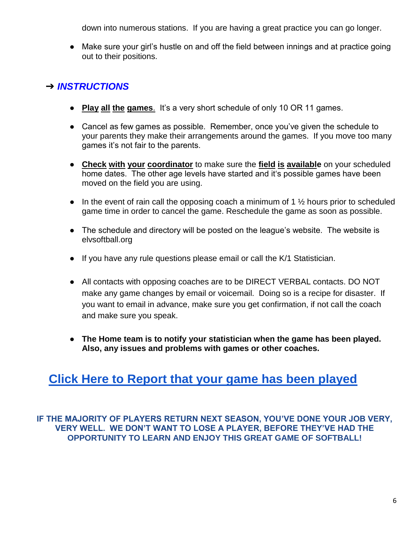down into numerous stations. If you are having a great practice you can go longer.

■ Make sure your girl's hustle on and off the field between innings and at practice going out to their positions.

# ➔ *INSTRUCTIONS*

- **Play all the games**. It's a very short schedule of only 10 OR 11 games.
- Cancel as few games as possible. Remember, once you've given the schedule to your parents they make their arrangements around the games. If you move too many games it's not fair to the parents.
- **Check with your coordinator** to make sure the **field is available** on your scheduled home dates. The other age levels have started and it's possible games have been moved on the field you are using.
- In the event of rain call the opposing coach a minimum of 1  $\frac{1}{2}$  hours prior to scheduled game time in order to cancel the game. Reschedule the game as soon as possible.
- The schedule and directory will be posted on the league's website. The website is elvsoftball.org
- If you have any rule questions please email or call the K/1 Statistician.
- All contacts with opposing coaches are to be DIRECT VERBAL contacts. DO NOT make any game changes by email or voicemail. Doing so is a recipe for disaster. If you want to email in advance, make sure you get confirmation, if not call the coach and make sure you speak.
- **The Home team is to notify your statistician when the game has been played. Also, any issues and problems with games or other coaches.**

# **[Click Here to Report that your game has been played](https://docs.google.com/forms/d/e/1FAIpQLSctPO59LiBcckG3M8y_VR5ii2bDPw4hdwu9K5bm6SsxPY4ARQ/viewform)**

**IF THE MAJORITY OF PLAYERS RETURN NEXT SEASON, YOU'VE DONE YOUR JOB VERY, VERY WELL. WE DON'T WANT TO LOSE A PLAYER, BEFORE THEY'VE HAD THE OPPORTUNITY TO LEARN AND ENJOY THIS GREAT GAME OF SOFTBALL!**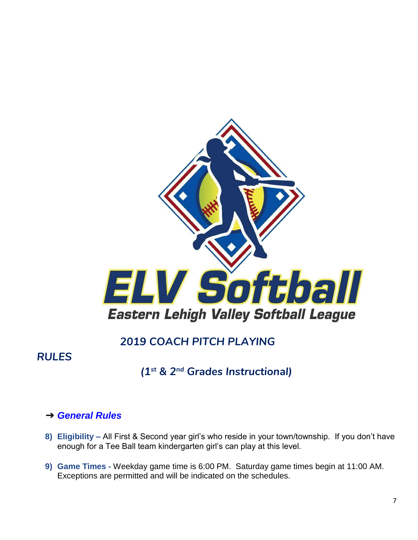

# *2019 COACH PITCH PLAYING*

# <span id="page-6-0"></span>*RULES*

# *(1st & 2nd Grades Instructional)*

## ➔ *General Rules*

- **8) Eligibility –** All First & Second year girl's who reside in your town/township. If you don't have enough for a Tee Ball team kindergarten girl's can play at this level.
- **9) Game Times -** Weekday game time is 6:00 PM. Saturday game times begin at 11:00 AM. Exceptions are permitted and will be indicated on the schedules.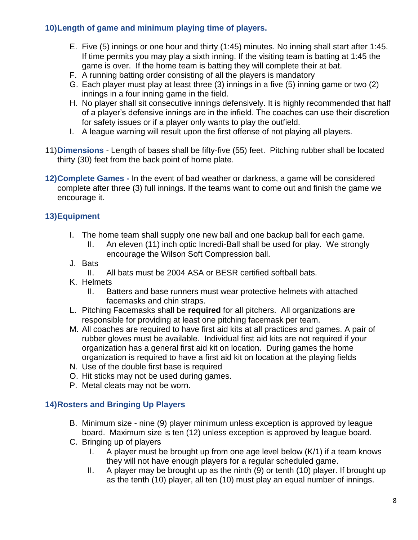### **10)Length of game and minimum playing time of players.**

- E. Five (5) innings or one hour and thirty (1:45) minutes. No inning shall start after 1:45. If time permits you may play a sixth inning. If the visiting team is batting at 1:45 the game is over. If the home team is batting they will complete their at bat.
- F. A running batting order consisting of all the players is mandatory
- G. Each player must play at least three (3) innings in a five (5) inning game or two (2) innings in a four inning game in the field.
- H. No player shall sit consecutive innings defensively. It is highly recommended that half of a player's defensive innings are in the infield. The coaches can use their discretion for safety issues or if a player only wants to play the outfield.
- I. A league warning will result upon the first offense of not playing all players.
- 11)**Dimensions** Length of bases shall be fifty-five (55) feet. Pitching rubber shall be located thirty (30) feet from the back point of home plate.
- **12)Complete Games -** In the event of bad weather or darkness, a game will be considered complete after three (3) full innings. If the teams want to come out and finish the game we encourage it.

### **13)Equipment**

- I. The home team shall supply one new ball and one backup ball for each game.
	- II. An eleven (11) inch optic Incredi-Ball shall be used for play. We strongly encourage the Wilson Soft Compression ball.
- J. Bats
	- II. All bats must be 2004 ASA or BESR certified softball bats.
- K. Helmets
	- II. Batters and base runners must wear protective helmets with attached facemasks and chin straps.
- L. Pitching Facemasks shall be **required** for all pitchers. All organizations are responsible for providing at least one pitching facemask per team.
- M. All coaches are required to have first aid kits at all practices and games. A pair of rubber gloves must be available. Individual first aid kits are not required if your organization has a general first aid kit on location. During games the home organization is required to have a first aid kit on location at the playing fields
- N. Use of the double first base is required
- O. Hit sticks may not be used during games.
- P. Metal cleats may not be worn.

### **14)Rosters and Bringing Up Players**

- B. Minimum size nine (9) player minimum unless exception is approved by league board. Maximum size is ten (12) unless exception is approved by league board.
- C. Bringing up of players
	- I. A player must be brought up from one age level below (K/1) if a team knows they will not have enough players for a regular scheduled game.
	- II. A player may be brought up as the ninth (9) or tenth (10) player. If brought up as the tenth (10) player, all ten (10) must play an equal number of innings.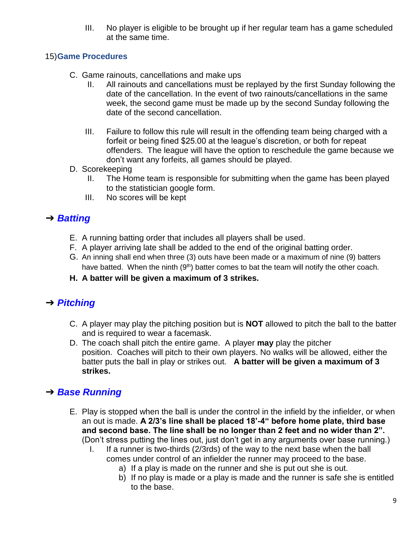III. No player is eligible to be brought up if her regular team has a game scheduled at the same time.

#### 15)**Game Procedures**

- C. Game rainouts, cancellations and make ups
	- II. All rainouts and cancellations must be replayed by the first Sunday following the date of the cancellation. In the event of two rainouts/cancellations in the same week, the second game must be made up by the second Sunday following the date of the second cancellation.
	- III. Failure to follow this rule will result in the offending team being charged with a forfeit or being fined \$25.00 at the league's discretion, or both for repeat offenders. The league will have the option to reschedule the game because we don't want any forfeits, all games should be played.
- D. Scorekeeping
	- II. The Home team is responsible for submitting when the game has been played to the statistician google form.
	- III. No scores will be kept

## ➔ *Batting*

- E. A running batting order that includes all players shall be used.
- F. A player arriving late shall be added to the end of the original batting order.
- G. An inning shall end when three (3) outs have been made or a maximum of nine (9) batters have batted. When the ninth  $(9<sup>th</sup>)$  batter comes to bat the team will notify the other coach.
- **H. A batter will be given a maximum of 3 strikes.**

# ➔ *Pitching*

- C. A player may play the pitching position but is **NOT** allowed to pitch the ball to the batter and is required to wear a facemask.
- D. The coach shall pitch the entire game. A player **may** play the pitcher position. Coaches will pitch to their own players. No walks will be allowed, either the batter puts the ball in play or strikes out. **A batter will be given a maximum of 3 strikes.**

## ➔ *Base Running*

- E. Play is stopped when the ball is under the control in the infield by the infielder, or when an out is made. **A 2/3's line shall be placed 18'-4" before home plate, third base and second base. The line shall be no longer than 2 feet and no wider than 2".**  (Don't stress putting the lines out, just don't get in any arguments over base running.)
	- I. If a runner is two-thirds (2/3rds) of the way to the next base when the ball comes under control of an infielder the runner may proceed to the base.
		- a) If a play is made on the runner and she is put out she is out.
		- b) If no play is made or a play is made and the runner is safe she is entitled to the base.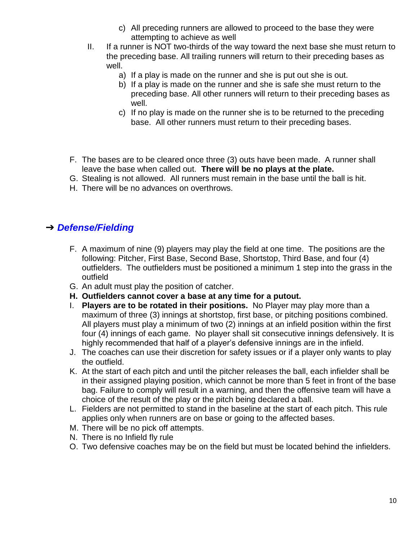- c) All preceding runners are allowed to proceed to the base they were attempting to achieve as well
- II. If a runner is NOT two-thirds of the way toward the next base she must return to the preceding base. All trailing runners will return to their preceding bases as well.
	- a) If a play is made on the runner and she is put out she is out.
	- b) If a play is made on the runner and she is safe she must return to the preceding base. All other runners will return to their preceding bases as well.
	- c) If no play is made on the runner she is to be returned to the preceding base. All other runners must return to their preceding bases.
- F. The bases are to be cleared once three (3) outs have been made. A runner shall leave the base when called out. **There will be no plays at the plate.**
- G. Stealing is not allowed. All runners must remain in the base until the ball is hit.
- H. There will be no advances on overthrows.

## ➔ *Defense/Fielding*

- F. A maximum of nine (9) players may play the field at one time. The positions are the following: Pitcher, First Base, Second Base, Shortstop, Third Base, and four (4) outfielders. The outfielders must be positioned a minimum 1 step into the grass in the outfield
- G. An adult must play the position of catcher.
- **H. Outfielders cannot cover a base at any time for a putout.**
- I. **Players are to be rotated in their positions.** No Player may play more than a maximum of three (3) innings at shortstop, first base, or pitching positions combined. All players must play a minimum of two (2) innings at an infield position within the first four (4) innings of each game. No player shall sit consecutive innings defensively. It is highly recommended that half of a player's defensive innings are in the infield.
- J. The coaches can use their discretion for safety issues or if a player only wants to play the outfield.
- K. At the start of each pitch and until the pitcher releases the ball, each infielder shall be in their assigned playing position, which cannot be more than 5 feet in front of the base bag. Failure to comply will result in a warning, and then the offensive team will have a choice of the result of the play or the pitch being declared a ball.
- L. Fielders are not permitted to stand in the baseline at the start of each pitch. This rule applies only when runners are on base or going to the affected bases.
- M. There will be no pick off attempts.
- N. There is no Infield fly rule
- O. Two defensive coaches may be on the field but must be located behind the infielders.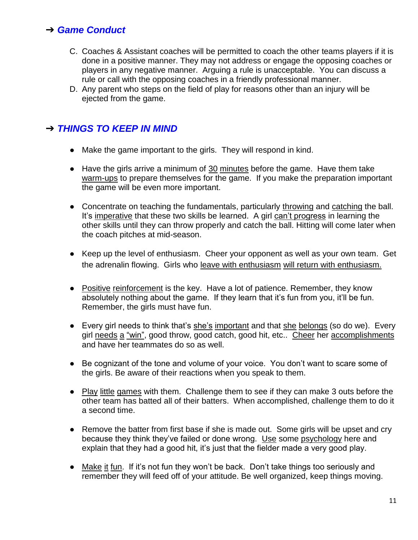### ➔ *Game Conduct*

- C. Coaches & Assistant coaches will be permitted to coach the other teams players if it is done in a positive manner. They may not address or engage the opposing coaches or players in any negative manner. Arguing a rule is unacceptable. You can discuss a rule or call with the opposing coaches in a friendly professional manner.
- D. Any parent who steps on the field of play for reasons other than an injury will be ejected from the game.

## ➔ *THINGS TO KEEP IN MIND*

- Make the game important to the girls. They will respond in kind.
- Have the girls arrive a minimum of 30 minutes before the game. Have them take warm-ups to prepare themselves for the game. If you make the preparation important the game will be even more important.
- Concentrate on teaching the fundamentals, particularly throwing and catching the ball. It's imperative that these two skills be learned. A girl can't progress in learning the other skills until they can throw properly and catch the ball. Hitting will come later when the coach pitches at mid-season.
- Keep up the level of enthusiasm. Cheer your opponent as well as your own team. Get the adrenalin flowing. Girls who leave with enthusiasm will return with enthusiasm.
- Positive reinforcement is the key. Have a lot of patience. Remember, they know absolutely nothing about the game. If they learn that it's fun from you, it'll be fun. Remember, the girls must have fun.
- Every girl needs to think that's she's important and that she belongs (so do we). Every girl needs a "win", good throw, good catch, good hit, etc.. Cheer her accomplishments and have her teammates do so as well.
- Be cognizant of the tone and volume of your voice. You don't want to scare some of the girls. Be aware of their reactions when you speak to them.
- Play little games with them. Challenge them to see if they can make 3 outs before the other team has batted all of their batters. When accomplished, challenge them to do it a second time.
- Remove the batter from first base if she is made out. Some girls will be upset and cry because they think they've failed or done wrong. Use some psychology here and explain that they had a good hit, it's just that the fielder made a very good play.
- Make it fun. If it's not fun they won't be back. Don't take things too seriously and remember they will feed off of your attitude. Be well organized, keep things moving.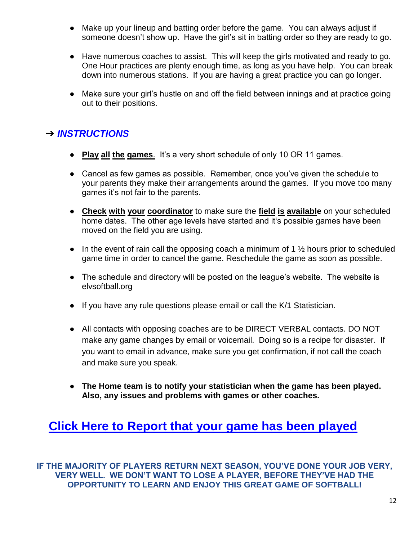- Make up your lineup and batting order before the game. You can always adjust if someone doesn't show up. Have the girl's sit in batting order so they are ready to go.
- Have numerous coaches to assist. This will keep the girls motivated and ready to go. One Hour practices are plenty enough time, as long as you have help. You can break down into numerous stations. If you are having a great practice you can go longer.
- Make sure your girl's hustle on and off the field between innings and at practice going out to their positions.

# ➔ *INSTRUCTIONS*

- **Play all the games**. It's a very short schedule of only 10 OR 11 games.
- Cancel as few games as possible. Remember, once you've given the schedule to your parents they make their arrangements around the games. If you move too many games it's not fair to the parents.
- **Check with your coordinator** to make sure the **field is available** on your scheduled home dates. The other age levels have started and it's possible games have been moved on the field you are using.
- In the event of rain call the opposing coach a minimum of 1  $\frac{1}{2}$  hours prior to scheduled game time in order to cancel the game. Reschedule the game as soon as possible.
- The schedule and directory will be posted on the league's website. The website is elvsoftball.org
- If you have any rule questions please email or call the K/1 Statistician.
- All contacts with opposing coaches are to be DIRECT VERBAL contacts. DO NOT make any game changes by email or voicemail. Doing so is a recipe for disaster. If you want to email in advance, make sure you get confirmation, if not call the coach and make sure you speak.
- **The Home team is to notify your statistician when the game has been played. Also, any issues and problems with games or other coaches.**

# **[Click Here to Report that your game has been played](https://docs.google.com/forms/d/10YSlQdrZl1vaXIZQ3C7QcccBKVUJnX3Px8Qte-q5BMA/edit)**

**IF THE MAJORITY OF PLAYERS RETURN NEXT SEASON, YOU'VE DONE YOUR JOB VERY, VERY WELL. WE DON'T WANT TO LOSE A PLAYER, BEFORE THEY'VE HAD THE OPPORTUNITY TO LEARN AND ENJOY THIS GREAT GAME OF SOFTBALL!**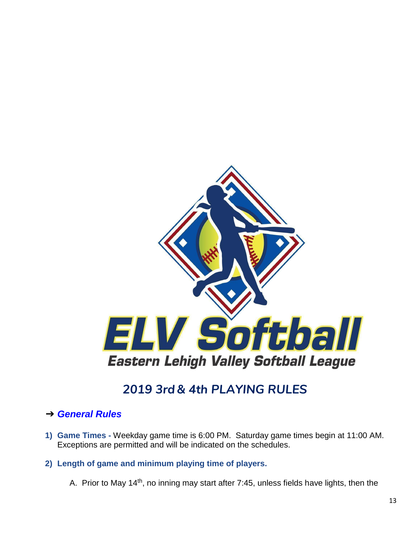

# *2019 3rd& 4th PLAYING RULES*

### <span id="page-12-0"></span>➔ *General Rules*

**1) Game Times -** Weekday game time is 6:00 PM. Saturday game times begin at 11:00 AM. Exceptions are permitted and will be indicated on the schedules.

#### **2) Length of game and minimum playing time of players.**

A. Prior to May 14<sup>th</sup>, no inning may start after 7:45, unless fields have lights, then the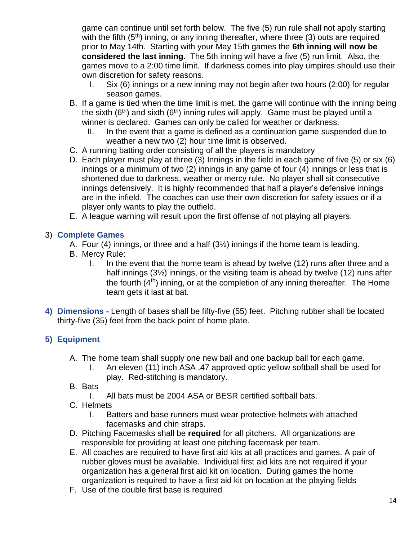game can continue until set forth below. The five (5) run rule shall not apply starting with the fifth  $(5<sup>th</sup>)$  inning, or any inning thereafter, where three  $(3)$  outs are required prior to May 14th. Starting with your May 15th games the **6th inning will now be considered the last inning.** The 5th inning will have a five (5) run limit. Also, the games move to a 2:00 time limit. If darkness comes into play umpires should use their own discretion for safety reasons.

- I. Six (6) innings or a new inning may not begin after two hours (2:00) for regular season games.
- B. If a game is tied when the time limit is met, the game will continue with the inning being the sixth  $(6<sup>th</sup>)$  and sixth  $(6<sup>th</sup>)$  inning rules will apply. Game must be played until a winner is declared. Games can only be called for weather or darkness.
	- II. In the event that a game is defined as a continuation game suspended due to weather a new two (2) hour time limit is observed.
- C. A running batting order consisting of all the players is mandatory
- D. Each player must play at three (3) Innings in the field in each game of five (5) or six (6) innings or a minimum of two (2) innings in any game of four (4) innings or less that is shortened due to darkness, weather or mercy rule. No player shall sit consecutive innings defensively. It is highly recommended that half a player's defensive innings are in the infield. The coaches can use their own discretion for safety issues or if a player only wants to play the outfield.
- E. A league warning will result upon the first offense of not playing all players.

### 3) **Complete Games**

- A. Four (4) innings, or three and a half (3½) innings if the home team is leading.
- B. Mercy Rule:
	- I. In the event that the home team is ahead by twelve (12) runs after three and a half innings (3½) innings, or the visiting team is ahead by twelve (12) runs after the fourth  $(4<sup>th</sup>)$  inning, or at the completion of any inning thereafter. The Home team gets it last at bat.
- **4) Dimensions -** Length of bases shall be fifty-five (55) feet. Pitching rubber shall be located thirty-five (35) feet from the back point of home plate.

### **5) Equipment**

- A. The home team shall supply one new ball and one backup ball for each game.
	- I. An eleven (11) inch ASA .47 approved optic yellow softball shall be used for play. Red-stitching is mandatory.
- B. Bats
	- I. All bats must be 2004 ASA or BESR certified softball bats.
- C. Helmets
	- I. Batters and base runners must wear protective helmets with attached facemasks and chin straps.
- D. Pitching Facemasks shall be **required** for all pitchers. All organizations are responsible for providing at least one pitching facemask per team.
- E. All coaches are required to have first aid kits at all practices and games. A pair of rubber gloves must be available. Individual first aid kits are not required if your organization has a general first aid kit on location. During games the home organization is required to have a first aid kit on location at the playing fields
- F. Use of the double first base is required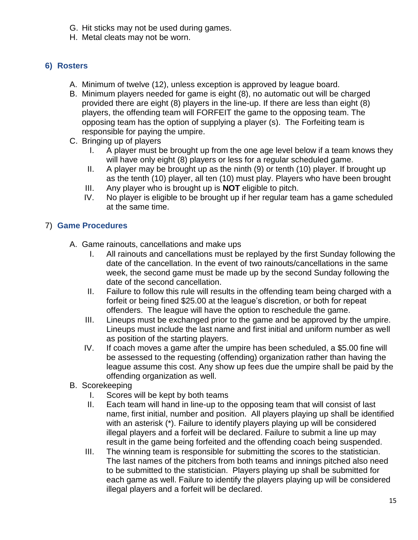- G. Hit sticks may not be used during games.
- H. Metal cleats may not be worn.

### **6) Rosters**

- A. Minimum of twelve (12), unless exception is approved by league board.
- B. Minimum players needed for game is eight (8), no automatic out will be charged provided there are eight (8) players in the line-up. If there are less than eight (8) players, the offending team will FORFEIT the game to the opposing team. The opposing team has the option of supplying a player (s). The Forfeiting team is responsible for paying the umpire.
- C. Bringing up of players
	- I. A player must be brought up from the one age level below if a team knows they will have only eight (8) players or less for a regular scheduled game.
	- II. A player may be brought up as the ninth (9) or tenth (10) player. If brought up as the tenth (10) player, all ten (10) must play. Players who have been brought
	- III. Any player who is brought up is **NOT** eligible to pitch.
	- IV. No player is eligible to be brought up if her regular team has a game scheduled at the same time.

### 7) **Game Procedures**

- A. Game rainouts, cancellations and make ups
	- I. All rainouts and cancellations must be replayed by the first Sunday following the date of the cancellation. In the event of two rainouts/cancellations in the same week, the second game must be made up by the second Sunday following the date of the second cancellation.
	- II. Failure to follow this rule will results in the offending team being charged with a forfeit or being fined \$25.00 at the league's discretion, or both for repeat offenders. The league will have the option to reschedule the game.
	- III. Lineups must be exchanged prior to the game and be approved by the umpire. Lineups must include the last name and first initial and uniform number as well as position of the starting players.
	- IV. If coach moves a game after the umpire has been scheduled, a \$5.00 fine will be assessed to the requesting (offending) organization rather than having the league assume this cost. Any show up fees due the umpire shall be paid by the offending organization as well.
- B. Scorekeeping
	- I. Scores will be kept by both teams
	- II. Each team will hand in line-up to the opposing team that will consist of last name, first initial, number and position. All players playing up shall be identified with an asterisk (\*). Failure to identify players playing up will be considered illegal players and a forfeit will be declared. Failure to submit a line up may result in the game being forfeited and the offending coach being suspended.
	- III. The winning team is responsible for submitting the scores to the statistician. The last names of the pitchers from both teams and innings pitched also need to be submitted to the statistician. Players playing up shall be submitted for each game as well. Failure to identify the players playing up will be considered illegal players and a forfeit will be declared.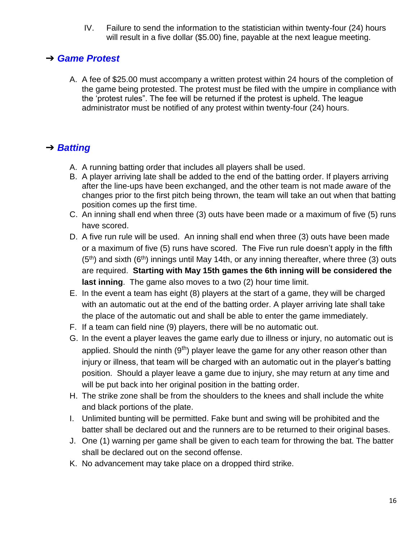IV. Failure to send the information to the statistician within twenty-four (24) hours will result in a five dollar (\$5.00) fine, payable at the next league meeting.

## ➔ *Game Protest*

A. A fee of \$25.00 must accompany a written protest within 24 hours of the completion of the game being protested. The protest must be filed with the umpire in compliance with the 'protest rules". The fee will be returned if the protest is upheld. The league administrator must be notified of any protest within twenty-four (24) hours.

# ➔ *Batting*

- A. A running batting order that includes all players shall be used.
- B. A player arriving late shall be added to the end of the batting order. If players arriving after the line-ups have been exchanged, and the other team is not made aware of the changes prior to the first pitch being thrown, the team will take an out when that batting position comes up the first time.
- C. An inning shall end when three (3) outs have been made or a maximum of five (5) runs have scored.
- D. A five run rule will be used. An inning shall end when three (3) outs have been made or a maximum of five (5) runs have scored. The Five run rule doesn't apply in the fifth  $(5<sup>th</sup>)$  and sixth  $(6<sup>th</sup>)$  innings until May 14th, or any inning thereafter, where three (3) outs are required. **Starting with May 15th games the 6th inning will be considered the last inning**. The game also moves to a two (2) hour time limit.
- E. In the event a team has eight (8) players at the start of a game, they will be charged with an automatic out at the end of the batting order. A player arriving late shall take the place of the automatic out and shall be able to enter the game immediately.
- F. If a team can field nine (9) players, there will be no automatic out.
- G. In the event a player leaves the game early due to illness or injury, no automatic out is applied. Should the ninth  $(9<sup>th</sup>)$  player leave the game for any other reason other than injury or illness, that team will be charged with an automatic out in the player's batting position. Should a player leave a game due to injury, she may return at any time and will be put back into her original position in the batting order.
- H. The strike zone shall be from the shoulders to the knees and shall include the white and black portions of the plate.
- I. Unlimited bunting will be permitted. Fake bunt and swing will be prohibited and the batter shall be declared out and the runners are to be returned to their original bases.
- J. One (1) warning per game shall be given to each team for throwing the bat. The batter shall be declared out on the second offense.
- K. No advancement may take place on a dropped third strike.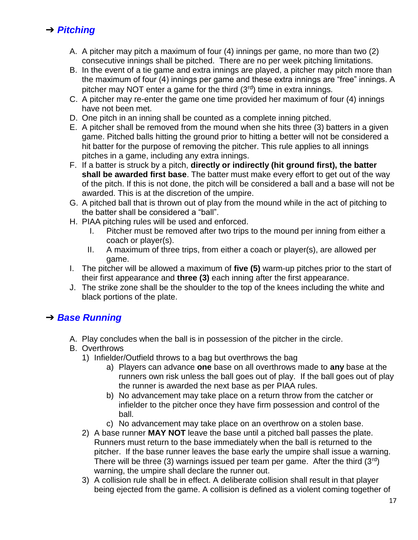# ➔ *Pitching*

- A. A pitcher may pitch a maximum of four (4) innings per game, no more than two (2) consecutive innings shall be pitched. There are no per week pitching limitations.
- B. In the event of a tie game and extra innings are played, a pitcher may pitch more than the maximum of four (4) innings per game and these extra innings are "free" innings. A pitcher may NOT enter a game for the third  $(3<sup>rd</sup>)$  time in extra innings.
- C. A pitcher may re-enter the game one time provided her maximum of four (4) innings have not been met.
- D. One pitch in an inning shall be counted as a complete inning pitched.
- E. A pitcher shall be removed from the mound when she hits three (3) batters in a given game. Pitched balls hitting the ground prior to hitting a better will not be considered a hit batter for the purpose of removing the pitcher. This rule applies to all innings pitches in a game, including any extra innings.
- F. If a batter is struck by a pitch, **directly or indirectly (hit ground first), the batter shall be awarded first base**. The batter must make every effort to get out of the way of the pitch. If this is not done, the pitch will be considered a ball and a base will not be awarded. This is at the discretion of the umpire.
- G. A pitched ball that is thrown out of play from the mound while in the act of pitching to the batter shall be considered a "ball".
- H. PIAA pitching rules will be used and enforced.
	- I. Pitcher must be removed after two trips to the mound per inning from either a coach or player(s).
	- II. A maximum of three trips, from either a coach or player(s), are allowed per game.
- I. The pitcher will be allowed a maximum of **five (5)** warm-up pitches prior to the start of their first appearance and **three (3)** each inning after the first appearance.
- J. The strike zone shall be the shoulder to the top of the knees including the white and black portions of the plate.

# ➔ *Base Running*

- A. Play concludes when the ball is in possession of the pitcher in the circle.
- B. Overthrows
	- 1) Infielder/Outfield throws to a bag but overthrows the bag
		- a) Players can advance **one** base on all overthrows made to **any** base at the runners own risk unless the ball goes out of play. If the ball goes out of play the runner is awarded the next base as per PIAA rules.
		- b) No advancement may take place on a return throw from the catcher or infielder to the pitcher once they have firm possession and control of the ball.
		- c) No advancement may take place on an overthrow on a stolen base.
	- 2) A base runner **MAY NOT** leave the base until a pitched ball passes the plate. Runners must return to the base immediately when the ball is returned to the pitcher. If the base runner leaves the base early the umpire shall issue a warning. There will be three (3) warnings issued per team per game. After the third  $(3<sup>rd</sup>)$ warning, the umpire shall declare the runner out.
	- 3) A collision rule shall be in effect. A deliberate collision shall result in that player being ejected from the game. A collision is defined as a violent coming together of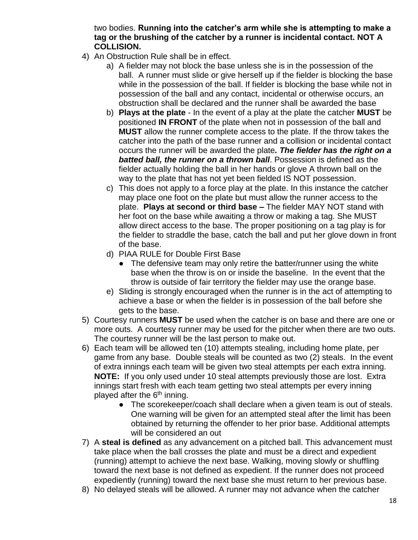two bodies. **Running into the catcher's arm while she is attempting to make a tag or the brushing of the catcher by a runner is incidental contact. NOT A COLLISION.**

- 4) An Obstruction Rule shall be in effect.
	- a) A fielder may not block the base unless she is in the possession of the ball. A runner must slide or give herself up if the fielder is blocking the base while in the possession of the ball. If fielder is blocking the base while not in possession of the ball and any contact, incidental or otherwise occurs, an obstruction shall be declared and the runner shall be awarded the base
	- b) **Plays at the plate**  In the event of a play at the plate the catcher **MUST** be positioned **IN FRONT** of the plate when not in possession of the ball and **MUST** allow the runner complete access to the plate. If the throw takes the catcher into the path of the base runner and a collision or incidental contact occurs the runner will be awarded the plate*. The fielder has the right on a batted ball, the runner on a thrown ball*. Possession is defined as the fielder actually holding the ball in her hands or glove A thrown ball on the way to the plate that has not yet been fielded IS NOT possession.
	- c) This does not apply to a force play at the plate. In this instance the catcher may place one foot on the plate but must allow the runner access to the plate. **Plays at second or third base –** The fielder MAY NOT stand with her foot on the base while awaiting a throw or making a tag. She MUST allow direct access to the base. The proper positioning on a tag play is for the fielder to straddle the base, catch the ball and put her glove down in front of the base.
	- d) PIAA RULE for Double First Base
		- The defensive team may only retire the batter/runner using the white base when the throw is on or inside the baseline. In the event that the throw is outside of fair territory the fielder may use the orange base.
	- e) Sliding is strongly encouraged when the runner is in the act of attempting to achieve a base or when the fielder is in possession of the ball before she gets to the base.
- 5) Courtesy runners **MUST** be used when the catcher is on base and there are one or more outs. A courtesy runner may be used for the pitcher when there are two outs. The courtesy runner will be the last person to make out.
- 6) Each team will be allowed ten (10) attempts stealing, including home plate, per game from any base. Double steals will be counted as two (2) steals. In the event of extra innings each team will be given two steal attempts per each extra inning. **NOTE:** If you only used under 10 steal attempts previously those are lost. Extra innings start fresh with each team getting two steal attempts per every inning played after the  $6<sup>th</sup>$  inning.
	- The scorekeeper/coach shall declare when a given team is out of steals. One warning will be given for an attempted steal after the limit has been obtained by returning the offender to her prior base. Additional attempts will be considered an out
- 7) A **steal is defined** as any advancement on a pitched ball. This advancement must take place when the ball crosses the plate and must be a direct and expedient (running) attempt to achieve the next base. Walking, moving slowly or shuffling toward the next base is not defined as expedient. If the runner does not proceed expediently (running) toward the next base she must return to her previous base.
- 8) No delayed steals will be allowed. A runner may not advance when the catcher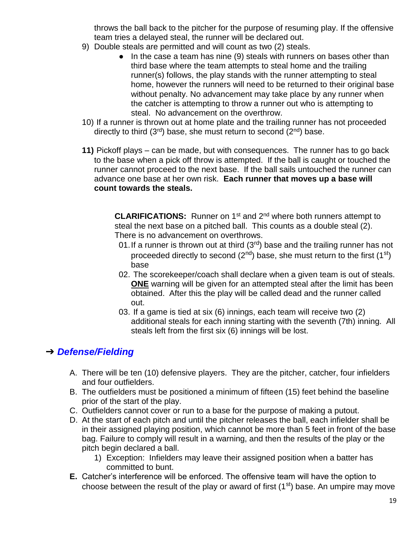throws the ball back to the pitcher for the purpose of resuming play. If the offensive team tries a delayed steal, the runner will be declared out.

- 9) Double steals are permitted and will count as two (2) steals.
	- In the case a team has nine (9) steals with runners on bases other than third base where the team attempts to steal home and the trailing runner(s) follows, the play stands with the runner attempting to steal home, however the runners will need to be returned to their original base without penalty. No advancement may take place by any runner when the catcher is attempting to throw a runner out who is attempting to steal. No advancement on the overthrow.
- 10) If a runner is thrown out at home plate and the trailing runner has not proceeded directly to third  $(3<sup>rd</sup>)$  base, she must return to second  $(2<sup>nd</sup>)$  base.
- **11)** Pickoff plays can be made, but with consequences. The runner has to go back to the base when a pick off throw is attempted. If the ball is caught or touched the runner cannot proceed to the next base. If the ball sails untouched the runner can advance one base at her own risk. **Each runner that moves up a base will count towards the steals.**

**CLARIFICATIONS:** Runner on 1<sup>st</sup> and 2<sup>nd</sup> where both runners attempt to steal the next base on a pitched ball. This counts as a double steal (2). There is no advancement on overthrows.

- 01. If a runner is thrown out at third  $(3<sup>rd</sup>)$  base and the trailing runner has not proceeded directly to second  $(2^{nd})$  base, she must return to the first  $(1^{st})$ base
- 02. The scorekeeper/coach shall declare when a given team is out of steals. **ONE** warning will be given for an attempted steal after the limit has been obtained. After this the play will be called dead and the runner called out.
- 03. If a game is tied at six (6) innings, each team will receive two (2) additional steals for each inning starting with the seventh (7th) inning. All steals left from the first six (6) innings will be lost.

# ➔ *Defense/Fielding*

- A. There will be ten (10) defensive players. They are the pitcher, catcher, four infielders and four outfielders.
- B. The outfielders must be positioned a minimum of fifteen (15) feet behind the baseline prior of the start of the play.
- C. Outfielders cannot cover or run to a base for the purpose of making a putout.
- D. At the start of each pitch and until the pitcher releases the ball, each infielder shall be in their assigned playing position, which cannot be more than 5 feet in front of the base bag. Failure to comply will result in a warning, and then the results of the play or the pitch begin declared a ball.
	- 1) Exception: Infielders may leave their assigned position when a batter has committed to bunt.
- **E.** Catcher's interference will be enforced. The offensive team will have the option to choose between the result of the play or award of first  $(1<sup>st</sup>)$  base. An umpire may move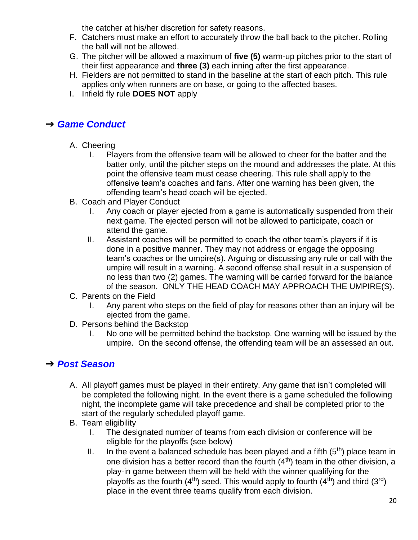the catcher at his/her discretion for safety reasons.

- F. Catchers must make an effort to accurately throw the ball back to the pitcher. Rolling the ball will not be allowed.
- G. The pitcher will be allowed a maximum of **five (5)** warm-up pitches prior to the start of their first appearance and **three (3)** each inning after the first appearance.
- H. Fielders are not permitted to stand in the baseline at the start of each pitch. This rule applies only when runners are on base, or going to the affected bases.
- I. Infield fly rule **DOES NOT** apply

# ➔ *Game Conduct*

- A. Cheering
	- I. Players from the offensive team will be allowed to cheer for the batter and the batter only, until the pitcher steps on the mound and addresses the plate. At this point the offensive team must cease cheering. This rule shall apply to the offensive team's coaches and fans. After one warning has been given, the offending team's head coach will be ejected.
- B. Coach and Player Conduct
	- I. Any coach or player ejected from a game is automatically suspended from their next game. The ejected person will not be allowed to participate, coach or attend the game.
	- II. Assistant coaches will be permitted to coach the other team's players if it is done in a positive manner. They may not address or engage the opposing team's coaches or the umpire(s). Arguing or discussing any rule or call with the umpire will result in a warning. A second offense shall result in a suspension of no less than two (2) games. The warning will be carried forward for the balance of the season. ONLY THE HEAD COACH MAY APPROACH THE UMPIRE(S).
- C. Parents on the Field
	- I. Any parent who steps on the field of play for reasons other than an injury will be ejected from the game.
- D. Persons behind the Backstop
	- I. No one will be permitted behind the backstop. One warning will be issued by the umpire. On the second offense, the offending team will be an assessed an out.

## ➔ *Post Season*

- A. All playoff games must be played in their entirety. Any game that isn't completed will be completed the following night. In the event there is a game scheduled the following night, the incomplete game will take precedence and shall be completed prior to the start of the regularly scheduled playoff game.
- B. Team eligibility
	- I. The designated number of teams from each division or conference will be eligible for the playoffs (see below)
	- II. In the event a balanced schedule has been played and a fifth  $(5<sup>th</sup>)$  place team in one division has a better record than the fourth  $(4<sup>th</sup>)$  team in the other division, a play-in game between them will be held with the winner qualifying for the playoffs as the fourth  $(4^{th})$  seed. This would apply to fourth  $(4^{th})$  and third  $(3^{rd})$ place in the event three teams qualify from each division.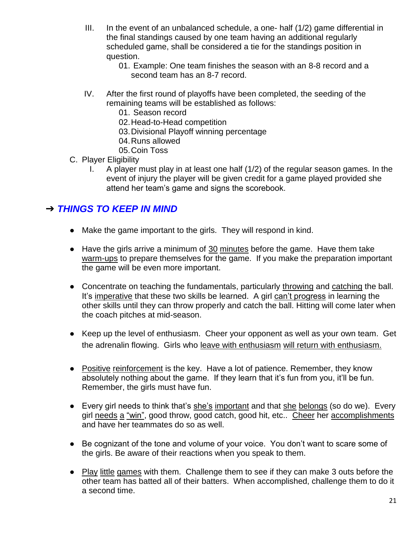- III. In the event of an unbalanced schedule, a one- half (1/2) game differential in the final standings caused by one team having an additional regularly scheduled game, shall be considered a tie for the standings position in question.
	- 01. Example: One team finishes the season with an 8-8 record and a second team has an 8-7 record.
- IV. After the first round of playoffs have been completed, the seeding of the remaining teams will be established as follows:
	- 01. Season record
	- 02.Head-to-Head competition
	- 03.Divisional Playoff winning percentage
	- 04.Runs allowed
	- 05.Coin Toss
- C. Player Eligibility
	- I. A player must play in at least one half (1/2) of the regular season games. In the event of injury the player will be given credit for a game played provided she attend her team's game and signs the scorebook.

# ➔ *THINGS TO KEEP IN MIND*

- Make the game important to the girls. They will respond in kind.
- Have the girls arrive a minimum of 30 minutes before the game. Have them take warm-ups to prepare themselves for the game. If you make the preparation important the game will be even more important.
- Concentrate on teaching the fundamentals, particularly throwing and catching the ball. It's imperative that these two skills be learned. A girl can't progress in learning the other skills until they can throw properly and catch the ball. Hitting will come later when the coach pitches at mid-season.
- Keep up the level of enthusiasm. Cheer your opponent as well as your own team. Get the adrenalin flowing. Girls who leave with enthusiasm will return with enthusiasm.
- Positive reinforcement is the key. Have a lot of patience. Remember, they know absolutely nothing about the game. If they learn that it's fun from you, it'll be fun. Remember, the girls must have fun.
- Every girl needs to think that's she's important and that she belongs (so do we). Every girl needs a "win", good throw, good catch, good hit, etc.. Cheer her accomplishments and have her teammates do so as well.
- Be cognizant of the tone and volume of your voice. You don't want to scare some of the girls. Be aware of their reactions when you speak to them.
- Play little games with them. Challenge them to see if they can make 3 outs before the other team has batted all of their batters. When accomplished, challenge them to do it a second time.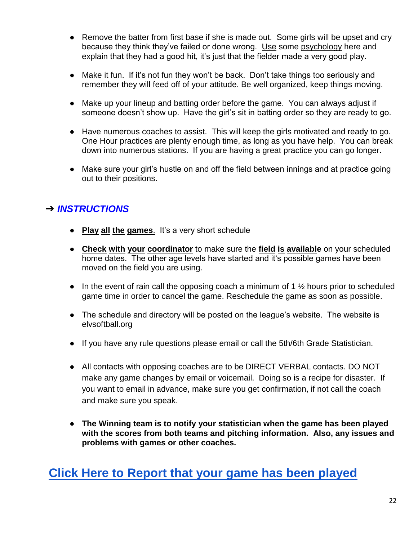- Remove the batter from first base if she is made out. Some girls will be upset and cry because they think they've failed or done wrong. Use some psychology here and explain that they had a good hit, it's just that the fielder made a very good play.
- Make it fun. If it's not fun they won't be back. Don't take things too seriously and remember they will feed off of your attitude. Be well organized, keep things moving.
- Make up your lineup and batting order before the game. You can always adjust if someone doesn't show up. Have the girl's sit in batting order so they are ready to go.
- Have numerous coaches to assist. This will keep the girls motivated and ready to go. One Hour practices are plenty enough time, as long as you have help. You can break down into numerous stations. If you are having a great practice you can go longer.
- Make sure your girl's hustle on and off the field between innings and at practice going out to their positions.

# ➔ *INSTRUCTIONS*

- **Play all the games**. It's a very short schedule
- **Check with your coordinator** to make sure the **field is available** on your scheduled home dates. The other age levels have started and it's possible games have been moved on the field you are using.
- In the event of rain call the opposing coach a minimum of 1  $\frac{1}{2}$  hours prior to scheduled game time in order to cancel the game. Reschedule the game as soon as possible.
- The schedule and directory will be posted on the league's website. The website is elvsoftball.org
- If you have any rule questions please email or call the 5th/6th Grade Statistician.
- All contacts with opposing coaches are to be DIRECT VERBAL contacts. DO NOT make any game changes by email or voicemail. Doing so is a recipe for disaster. If you want to email in advance, make sure you get confirmation, if not call the coach and make sure you speak.
- **The Winning team is to notify your statistician when the game has been played with the scores from both teams and pitching information. Also, any issues and problems with games or other coaches.**

# **[Click Here to Report that your game has been played](https://docs.google.com/forms/d/1r5scvwhacVGpd9eWUxWfrhCHLf7ypTSouVpT4z6R8oQ/edit)**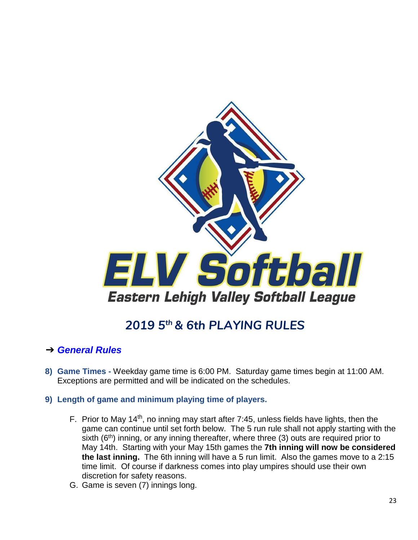

# *2019 5th & 6th PLAYING RULES*

## <span id="page-22-0"></span>➔ *General Rules*

- **8) Game Times -** Weekday game time is 6:00 PM. Saturday game times begin at 11:00 AM. Exceptions are permitted and will be indicated on the schedules.
- **9) Length of game and minimum playing time of players.**
	- F. Prior to May 14<sup>th</sup>, no inning may start after 7:45, unless fields have lights, then the game can continue until set forth below. The 5 run rule shall not apply starting with the sixth  $(6<sup>th</sup>)$  inning, or any inning thereafter, where three (3) outs are required prior to May 14th. Starting with your May 15th games the **7th inning will now be considered the last inning.** The 6th inning will have a 5 run limit. Also the games move to a 2:15 time limit. Of course if darkness comes into play umpires should use their own discretion for safety reasons.
	- G. Game is seven (7) innings long.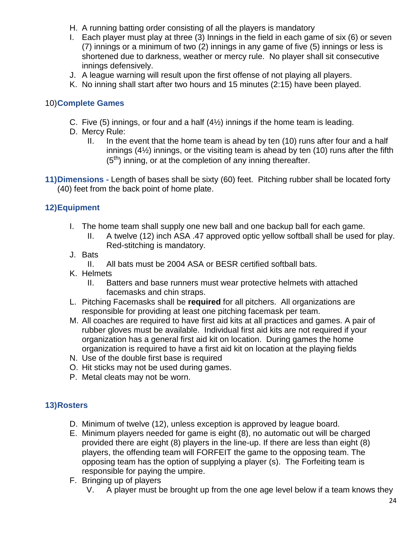- H. A running batting order consisting of all the players is mandatory
- I. Each player must play at three (3) Innings in the field in each game of six (6) or seven (7) innings or a minimum of two (2) innings in any game of five (5) innings or less is shortened due to darkness, weather or mercy rule. No player shall sit consecutive innings defensively.
- J. A league warning will result upon the first offense of not playing all players.
- K. No inning shall start after two hours and 15 minutes (2:15) have been played.

#### 10)**Complete Games**

- C. Five (5) innings, or four and a half (4½) innings if the home team is leading.
- D. Mercy Rule:
	- II. In the event that the home team is ahead by ten (10) runs after four and a half innings (4½) innings, or the visiting team is ahead by ten (10) runs after the fifth  $(5<sup>th</sup>)$  inning, or at the completion of any inning thereafter.
- **11)Dimensions -** Length of bases shall be sixty (60) feet. Pitching rubber shall be located forty (40) feet from the back point of home plate.

### **12)Equipment**

- I. The home team shall supply one new ball and one backup ball for each game.
	- II. A twelve (12) inch ASA .47 approved optic yellow softball shall be used for play. Red-stitching is mandatory.
- J. Bats
	- II. All bats must be 2004 ASA or BESR certified softball bats.
- K. Helmets
	- II. Batters and base runners must wear protective helmets with attached facemasks and chin straps.
- L. Pitching Facemasks shall be **required** for all pitchers. All organizations are responsible for providing at least one pitching facemask per team.
- M. All coaches are required to have first aid kits at all practices and games. A pair of rubber gloves must be available. Individual first aid kits are not required if your organization has a general first aid kit on location. During games the home organization is required to have a first aid kit on location at the playing fields
- N. Use of the double first base is required
- O. Hit sticks may not be used during games.
- P. Metal cleats may not be worn.

### **13)Rosters**

- D. Minimum of twelve (12), unless exception is approved by league board.
- E. Minimum players needed for game is eight (8), no automatic out will be charged provided there are eight (8) players in the line-up. If there are less than eight (8) players, the offending team will FORFEIT the game to the opposing team. The opposing team has the option of supplying a player (s). The Forfeiting team is responsible for paying the umpire.
- F. Bringing up of players
	- V. A player must be brought up from the one age level below if a team knows they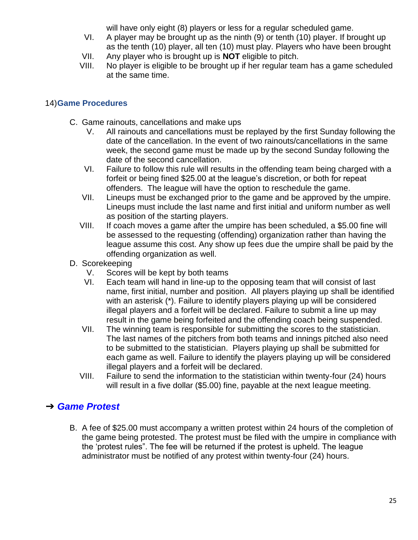will have only eight (8) players or less for a regular scheduled game.

- VI. A player may be brought up as the ninth (9) or tenth (10) player. If brought up as the tenth (10) player, all ten (10) must play. Players who have been brought VII. Any player who is brought up is **NOT** eligible to pitch.
- 
- VIII. No player is eligible to be brought up if her regular team has a game scheduled at the same time.

#### 14)**Game Procedures**

- C. Game rainouts, cancellations and make ups
	- V. All rainouts and cancellations must be replayed by the first Sunday following the date of the cancellation. In the event of two rainouts/cancellations in the same week, the second game must be made up by the second Sunday following the date of the second cancellation.
	- VI. Failure to follow this rule will results in the offending team being charged with a forfeit or being fined \$25.00 at the league's discretion, or both for repeat offenders. The league will have the option to reschedule the game.
	- VII. Lineups must be exchanged prior to the game and be approved by the umpire. Lineups must include the last name and first initial and uniform number as well as position of the starting players.
	- VIII. If coach moves a game after the umpire has been scheduled, a \$5.00 fine will be assessed to the requesting (offending) organization rather than having the league assume this cost. Any show up fees due the umpire shall be paid by the offending organization as well.
- D. Scorekeeping
	- V. Scores will be kept by both teams
	- VI. Each team will hand in line-up to the opposing team that will consist of last name, first initial, number and position. All players playing up shall be identified with an asterisk (\*). Failure to identify players playing up will be considered illegal players and a forfeit will be declared. Failure to submit a line up may result in the game being forfeited and the offending coach being suspended.
	- VII. The winning team is responsible for submitting the scores to the statistician. The last names of the pitchers from both teams and innings pitched also need to be submitted to the statistician. Players playing up shall be submitted for each game as well. Failure to identify the players playing up will be considered illegal players and a forfeit will be declared.
	- VIII. Failure to send the information to the statistician within twenty-four (24) hours will result in a five dollar (\$5.00) fine, payable at the next league meeting.

## ➔ *Game Protest*

B. A fee of \$25.00 must accompany a written protest within 24 hours of the completion of the game being protested. The protest must be filed with the umpire in compliance with the 'protest rules". The fee will be returned if the protest is upheld. The league administrator must be notified of any protest within twenty-four (24) hours.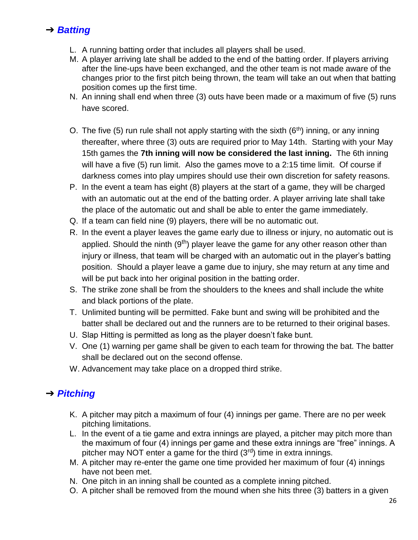# ➔ *Batting*

- L. A running batting order that includes all players shall be used.
- M. A player arriving late shall be added to the end of the batting order. If players arriving after the line-ups have been exchanged, and the other team is not made aware of the changes prior to the first pitch being thrown, the team will take an out when that batting position comes up the first time.
- N. An inning shall end when three (3) outs have been made or a maximum of five (5) runs have scored.
- O. The five (5) run rule shall not apply starting with the sixth ( $6<sup>th</sup>$ ) inning, or any inning thereafter, where three (3) outs are required prior to May 14th. Starting with your May 15th games the **7th inning will now be considered the last inning.** The 6th inning will have a five (5) run limit. Also the games move to a 2:15 time limit. Of course if darkness comes into play umpires should use their own discretion for safety reasons.
- P. In the event a team has eight (8) players at the start of a game, they will be charged with an automatic out at the end of the batting order. A player arriving late shall take the place of the automatic out and shall be able to enter the game immediately.
- Q. If a team can field nine (9) players, there will be no automatic out.
- R. In the event a player leaves the game early due to illness or injury, no automatic out is applied. Should the ninth  $(9<sup>th</sup>)$  player leave the game for any other reason other than injury or illness, that team will be charged with an automatic out in the player's batting position. Should a player leave a game due to injury, she may return at any time and will be put back into her original position in the batting order.
- S. The strike zone shall be from the shoulders to the knees and shall include the white and black portions of the plate.
- T. Unlimited bunting will be permitted. Fake bunt and swing will be prohibited and the batter shall be declared out and the runners are to be returned to their original bases.
- U. Slap Hitting is permitted as long as the player doesn't fake bunt.
- V. One (1) warning per game shall be given to each team for throwing the bat. The batter shall be declared out on the second offense.
- W. Advancement may take place on a dropped third strike.

# ➔ *Pitching*

- K. A pitcher may pitch a maximum of four (4) innings per game. There are no per week pitching limitations.
- L. In the event of a tie game and extra innings are played, a pitcher may pitch more than the maximum of four (4) innings per game and these extra innings are "free" innings. A pitcher may NOT enter a game for the third  $(3<sup>rd</sup>)$  time in extra innings.
- M. A pitcher may re-enter the game one time provided her maximum of four (4) innings have not been met.
- N. One pitch in an inning shall be counted as a complete inning pitched.
- O. A pitcher shall be removed from the mound when she hits three (3) batters in a given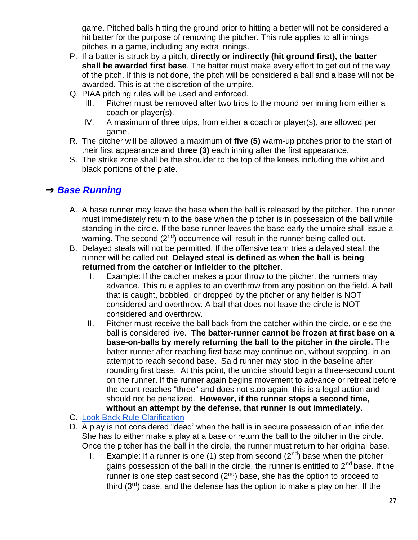game. Pitched balls hitting the ground prior to hitting a better will not be considered a hit batter for the purpose of removing the pitcher. This rule applies to all innings pitches in a game, including any extra innings.

- P. If a batter is struck by a pitch, **directly or indirectly (hit ground first), the batter shall be awarded first base**. The batter must make every effort to get out of the way of the pitch. If this is not done, the pitch will be considered a ball and a base will not be awarded. This is at the discretion of the umpire.
- Q. PIAA pitching rules will be used and enforced.
	- III. Pitcher must be removed after two trips to the mound per inning from either a coach or player(s).
	- IV. A maximum of three trips, from either a coach or player(s), are allowed per game.
- R. The pitcher will be allowed a maximum of **five (5)** warm-up pitches prior to the start of their first appearance and **three (3)** each inning after the first appearance.
- S. The strike zone shall be the shoulder to the top of the knees including the white and black portions of the plate.

## ➔ *Base Running*

- A. A base runner may leave the base when the ball is released by the pitcher. The runner must immediately return to the base when the pitcher is in possession of the ball while standing in the circle. If the base runner leaves the base early the umpire shall issue a warning. The second (2<sup>nd</sup>) occurrence will result in the runner being called out.
- B. Delayed steals will not be permitted. If the offensive team tries a delayed steal, the runner will be called out. **Delayed steal is defined as when the ball is being returned from the catcher or infielder to the pitcher**.
	- I. Example: If the catcher makes a poor throw to the pitcher, the runners may advance. This rule applies to an overthrow from any position on the field. A ball that is caught, bobbled, or dropped by the pitcher or any fielder is NOT considered and overthrow. A ball that does not leave the circle is NOT considered and overthrow.
	- II. Pitcher must receive the ball back from the catcher within the circle, or else the ball is considered live. **The batter-runner cannot be frozen at first base on a base-on-balls by merely returning the ball to the pitcher in the circle.** The batter-runner after reaching first base may continue on, without stopping, in an attempt to reach second base. Said runner may stop in the baseline after rounding first base. At this point, the umpire should begin a three-second count on the runner. If the runner again begins movement to advance or retreat before the count reaches "three" and does not stop again, this is a legal action and should not be penalized. **However, if the runner stops a second time, without an attempt by the defense, that runner is out immediately.**
- C. [Look Back Rule Clarification](https://fastpitch.tv/look-back-rule-gary-leland)
- D. A play is not considered "dead' when the ball is in secure possession of an infielder. She has to either make a play at a base or return the ball to the pitcher in the circle. Once the pitcher has the ball in the circle, the runner must return to her original base.
	- I. Example: If a runner is one (1) step from second  $(2^{nd})$  base when the pitcher gains possession of the ball in the circle, the runner is entitled to  $2<sup>nd</sup>$  base. If the runner is one step past second  $(2^{nd})$  base, she has the option to proceed to third  $(3<sup>rd</sup>)$  base, and the defense has the option to make a play on her. If the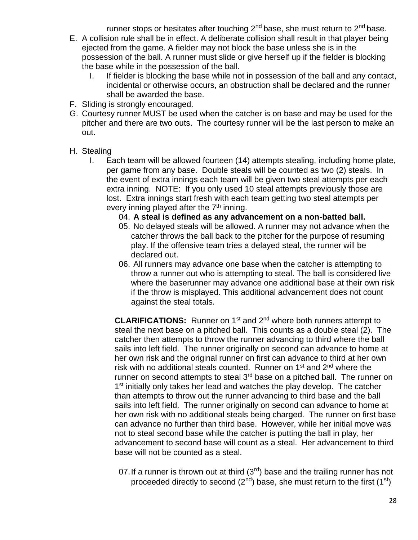runner stops or hesitates after touching  $2<sup>nd</sup>$  base, she must return to  $2<sup>nd</sup>$  base.

- E. A collision rule shall be in effect. A deliberate collision shall result in that player being ejected from the game. A fielder may not block the base unless she is in the possession of the ball. A runner must slide or give herself up if the fielder is blocking the base while in the possession of the ball.
	- I. If fielder is blocking the base while not in possession of the ball and any contact, incidental or otherwise occurs, an obstruction shall be declared and the runner shall be awarded the base.
- F. Sliding is strongly encouraged.
- G. Courtesy runner MUST be used when the catcher is on base and may be used for the pitcher and there are two outs. The courtesy runner will be the last person to make an out.
- H. Stealing
	- I. Each team will be allowed fourteen (14) attempts stealing, including home plate, per game from any base. Double steals will be counted as two (2) steals. In the event of extra innings each team will be given two steal attempts per each extra inning. NOTE: If you only used 10 steal attempts previously those are lost. Extra innings start fresh with each team getting two steal attempts per every inning played after the 7<sup>th</sup> inning.
		- 04. **A steal is defined as any advancement on a non-batted ball.**
		- 05. No delayed steals will be allowed. A runner may not advance when the catcher throws the ball back to the pitcher for the purpose of resuming play. If the offensive team tries a delayed steal, the runner will be declared out.
		- 06. All runners may advance one base when the catcher is attempting to throw a runner out who is attempting to steal. The ball is considered live where the baserunner may advance one additional base at their own risk if the throw is misplayed. This additional advancement does not count against the steal totals.

**CLARIFICATIONS:** Runner on 1<sup>st</sup> and 2<sup>nd</sup> where both runners attempt to steal the next base on a pitched ball. This counts as a double steal (2). The catcher then attempts to throw the runner advancing to third where the ball sails into left field. The runner originally on second can advance to home at her own risk and the original runner on first can advance to third at her own risk with no additional steals counted. Runner on  $1<sup>st</sup>$  and  $2<sup>nd</sup>$  where the runner on second attempts to steal 3<sup>rd</sup> base on a pitched ball. The runner on 1<sup>st</sup> initially only takes her lead and watches the play develop. The catcher than attempts to throw out the runner advancing to third base and the ball sails into left field. The runner originally on second can advance to home at her own risk with no additional steals being charged. The runner on first base can advance no further than third base. However, while her initial move was not to steal second base while the catcher is putting the ball in play, her advancement to second base will count as a steal. Her advancement to third base will not be counted as a steal.

07. If a runner is thrown out at third  $(3<sup>rd</sup>)$  base and the trailing runner has not proceeded directly to second  $(2^{nd})$  base, she must return to the first  $(1^{st})$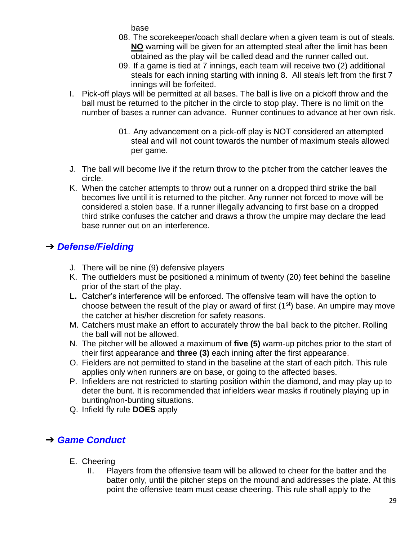base

- 08. The scorekeeper/coach shall declare when a given team is out of steals. **NO** warning will be given for an attempted steal after the limit has been obtained as the play will be called dead and the runner called out.
- 09. If a game is tied at 7 innings, each team will receive two (2) additional steals for each inning starting with inning 8. All steals left from the first 7 innings will be forfeited.
- I. Pick-off plays will be permitted at all bases. The ball is live on a pickoff throw and the ball must be returned to the pitcher in the circle to stop play. There is no limit on the number of bases a runner can advance. Runner continues to advance at her own risk.
	- 01. Any advancement on a pick-off play is NOT considered an attempted steal and will not count towards the number of maximum steals allowed per game.
- J. The ball will become live if the return throw to the pitcher from the catcher leaves the circle.
- K. When the catcher attempts to throw out a runner on a dropped third strike the ball becomes live until it is returned to the pitcher. Any runner not forced to move will be considered a stolen base. If a runner illegally advancing to first base on a dropped third strike confuses the catcher and draws a throw the umpire may declare the lead base runner out on an interference.

# ➔ *Defense/Fielding*

- J. There will be nine (9) defensive players
- K. The outfielders must be positioned a minimum of twenty (20) feet behind the baseline prior of the start of the play.
- **L.** Catcher's interference will be enforced. The offensive team will have the option to choose between the result of the play or award of first  $(1<sup>st</sup>)$  base. An umpire may move the catcher at his/her discretion for safety reasons.
- M. Catchers must make an effort to accurately throw the ball back to the pitcher. Rolling the ball will not be allowed.
- N. The pitcher will be allowed a maximum of **five (5)** warm-up pitches prior to the start of their first appearance and **three (3)** each inning after the first appearance.
- O. Fielders are not permitted to stand in the baseline at the start of each pitch. This rule applies only when runners are on base, or going to the affected bases.
- P. Infielders are not restricted to starting position within the diamond, and may play up to deter the bunt. It is recommended that infielders wear masks if routinely playing up in bunting/non-bunting situations.
- Q. Infield fly rule **DOES** apply

# ➔ *Game Conduct*

- E. Cheering
	- II. Players from the offensive team will be allowed to cheer for the batter and the batter only, until the pitcher steps on the mound and addresses the plate. At this point the offensive team must cease cheering. This rule shall apply to the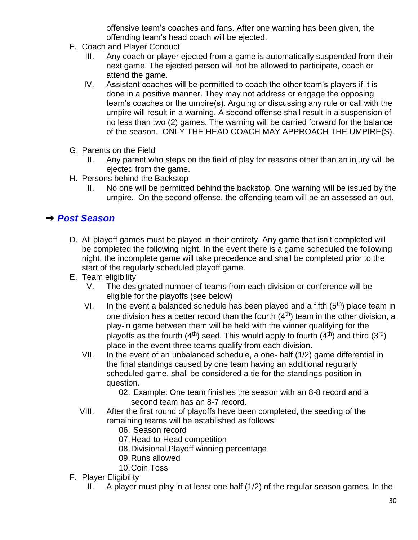offensive team's coaches and fans. After one warning has been given, the offending team's head coach will be ejected.

- F. Coach and Player Conduct
	- III. Any coach or player ejected from a game is automatically suspended from their next game. The ejected person will not be allowed to participate, coach or attend the game.
	- IV. Assistant coaches will be permitted to coach the other team's players if it is done in a positive manner. They may not address or engage the opposing team's coaches or the umpire(s). Arguing or discussing any rule or call with the umpire will result in a warning. A second offense shall result in a suspension of no less than two (2) games. The warning will be carried forward for the balance of the season. ONLY THE HEAD COACH MAY APPROACH THE UMPIRE(S).
- G. Parents on the Field
	- II. Any parent who steps on the field of play for reasons other than an injury will be ejected from the game.
- H. Persons behind the Backstop
	- II. No one will be permitted behind the backstop. One warning will be issued by the umpire. On the second offense, the offending team will be an assessed an out.

## ➔ *Post Season*

- D. All playoff games must be played in their entirety. Any game that isn't completed will be completed the following night. In the event there is a game scheduled the following night, the incomplete game will take precedence and shall be completed prior to the start of the regularly scheduled playoff game.
- E. Team eligibility
	- V. The designated number of teams from each division or conference will be eligible for the playoffs (see below)
	- VI. In the event a balanced schedule has been played and a fifth  $(5<sup>th</sup>)$  place team in one division has a better record than the fourth  $(4<sup>th</sup>)$  team in the other division, a play-in game between them will be held with the winner qualifying for the playoffs as the fourth  $(4^{th})$  seed. This would apply to fourth  $(4^{th})$  and third  $(3^{rd})$ place in the event three teams qualify from each division.
	- VII. In the event of an unbalanced schedule, a one- half (1/2) game differential in the final standings caused by one team having an additional regularly scheduled game, shall be considered a tie for the standings position in question.
		- 02. Example: One team finishes the season with an 8-8 record and a second team has an 8-7 record.
	- VIII. After the first round of playoffs have been completed, the seeding of the remaining teams will be established as follows:
		- 06. Season record
		- 07.Head-to-Head competition
		- 08.Divisional Playoff winning percentage
		- 09.Runs allowed
		- 10.Coin Toss
- F. Player Eligibility
	- II. A player must play in at least one half (1/2) of the regular season games. In the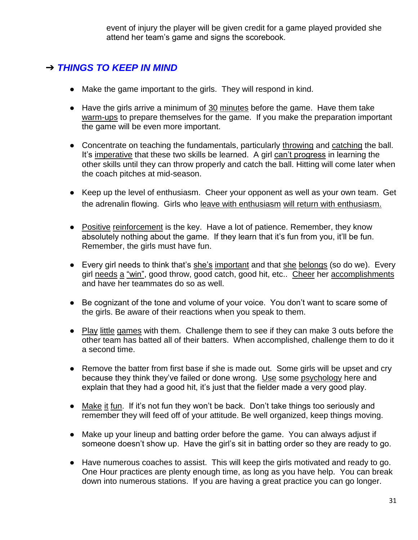event of injury the player will be given credit for a game played provided she attend her team's game and signs the scorebook.

# ➔ *THINGS TO KEEP IN MIND*

- Make the game important to the girls. They will respond in kind.
- Have the girls arrive a minimum of 30 minutes before the game. Have them take warm-ups to prepare themselves for the game. If you make the preparation important the game will be even more important.
- Concentrate on teaching the fundamentals, particularly throwing and catching the ball. It's imperative that these two skills be learned. A girl can't progress in learning the other skills until they can throw properly and catch the ball. Hitting will come later when the coach pitches at mid-season.
- Keep up the level of enthusiasm. Cheer your opponent as well as your own team. Get the adrenalin flowing. Girls who leave with enthusiasm will return with enthusiasm.
- Positive reinforcement is the key. Have a lot of patience. Remember, they know absolutely nothing about the game. If they learn that it's fun from you, it'll be fun. Remember, the girls must have fun.
- Every girl needs to think that's she's important and that she belongs (so do we). Every girl needs a "win", good throw, good catch, good hit, etc.. Cheer her accomplishments and have her teammates do so as well.
- Be cognizant of the tone and volume of your voice. You don't want to scare some of the girls. Be aware of their reactions when you speak to them.
- Play little games with them. Challenge them to see if they can make 3 outs before the other team has batted all of their batters. When accomplished, challenge them to do it a second time.
- Remove the batter from first base if she is made out. Some girls will be upset and cry because they think they've failed or done wrong. Use some psychology here and explain that they had a good hit, it's just that the fielder made a very good play.
- Make it fun. If it's not fun they won't be back. Don't take things too seriously and remember they will feed off of your attitude. Be well organized, keep things moving.
- Make up your lineup and batting order before the game. You can always adjust if someone doesn't show up. Have the girl's sit in batting order so they are ready to go.
- Have numerous coaches to assist. This will keep the girls motivated and ready to go. One Hour practices are plenty enough time, as long as you have help. You can break down into numerous stations. If you are having a great practice you can go longer.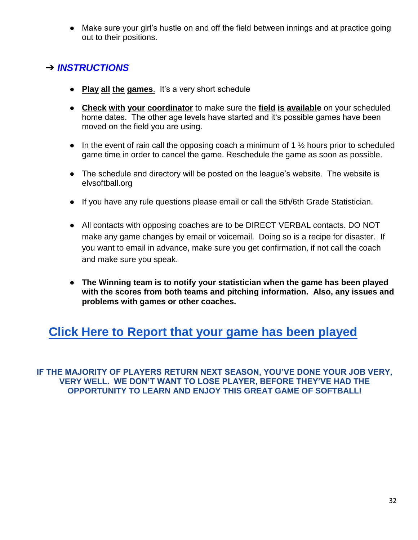● Make sure your girl's hustle on and off the field between innings and at practice going out to their positions.

# ➔ *INSTRUCTIONS*

- **Play all the games**. It's a very short schedule
- **Check with your coordinator** to make sure the **field is available** on your scheduled home dates. The other age levels have started and it's possible games have been moved on the field you are using.
- $\bullet$  In the event of rain call the opposing coach a minimum of 1  $\frac{1}{2}$  hours prior to scheduled game time in order to cancel the game. Reschedule the game as soon as possible.
- The schedule and directory will be posted on the league's website. The website is elvsoftball.org
- If you have any rule questions please email or call the 5th/6th Grade Statistician.
- All contacts with opposing coaches are to be DIRECT VERBAL contacts. DO NOT make any game changes by email or voicemail. Doing so is a recipe for disaster. If you want to email in advance, make sure you get confirmation, if not call the coach and make sure you speak.
- **The Winning team is to notify your statistician when the game has been played with the scores from both teams and pitching information. Also, any issues and problems with games or other coaches.**

# **[Click Here to Report that your game has been played](https://docs.google.com/forms/d/e/1FAIpQLScID0M6bT24UFNndkh_FBsiA59qZiRrsJI8H4ao8YxIigBhkA/viewform)**

**IF THE MAJORITY OF PLAYERS RETURN NEXT SEASON, YOU'VE DONE YOUR JOB VERY, VERY WELL. WE DON'T WANT TO LOSE PLAYER, BEFORE THEY'VE HAD THE OPPORTUNITY TO LEARN AND ENJOY THIS GREAT GAME OF SOFTBALL!**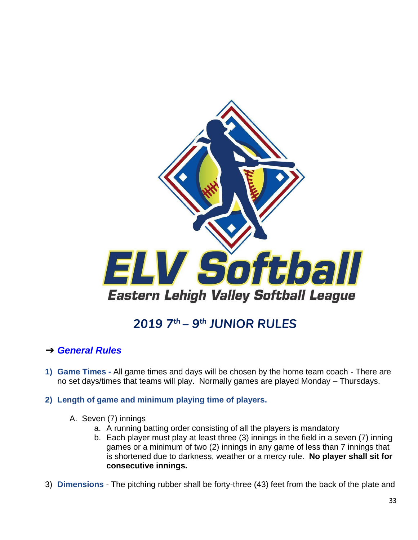

# *2019 7th – 9 th JUNIOR RULES*

## <span id="page-32-0"></span>➔ *General Rules*

- **1) Game Times -** All game times and days will be chosen by the home team coach There are no set days/times that teams will play. Normally games are played Monday – Thursdays.
- **2) Length of game and minimum playing time of players.**
	- A. Seven (7) innings
		- a. A running batting order consisting of all the players is mandatory
		- b. Each player must play at least three (3) innings in the field in a seven (7) inning games or a minimum of two (2) innings in any game of less than 7 innings that is shortened due to darkness, weather or a mercy rule. **No player shall sit for consecutive innings.**
- 3) **Dimensions** The pitching rubber shall be forty-three (43) feet from the back of the plate and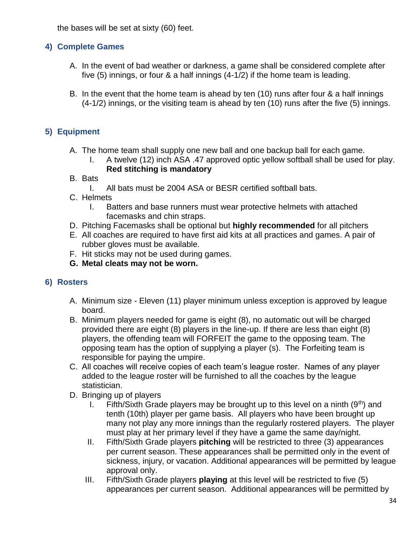the bases will be set at sixty (60) feet.

#### **4) Complete Games**

- A. In the event of bad weather or darkness, a game shall be considered complete after five (5) innings, or four & a half innings (4-1/2) if the home team is leading.
- B. In the event that the home team is ahead by ten (10) runs after four & a half innings (4-1/2) innings, or the visiting team is ahead by ten (10) runs after the five (5) innings.

### **5) Equipment**

- A. The home team shall supply one new ball and one backup ball for each game.
	- I. A twelve (12) inch ASA .47 approved optic yellow softball shall be used for play. **Red stitching is mandatory**
- B. Bats
	- I. All bats must be 2004 ASA or BESR certified softball bats.
- C. Helmets
	- I. Batters and base runners must wear protective helmets with attached facemasks and chin straps.
- D. Pitching Facemasks shall be optional but **highly recommended** for all pitchers
- E. All coaches are required to have first aid kits at all practices and games. A pair of rubber gloves must be available.
- F. Hit sticks may not be used during games.
- **G. Metal cleats may not be worn.**

#### **6) Rosters**

- A. Minimum size Eleven (11) player minimum unless exception is approved by league board.
- B. Minimum players needed for game is eight (8), no automatic out will be charged provided there are eight (8) players in the line-up. If there are less than eight (8) players, the offending team will FORFEIT the game to the opposing team. The opposing team has the option of supplying a player (s). The Forfeiting team is responsible for paying the umpire.
- C. All coaches will receive copies of each team's league roster. Names of any player added to the league roster will be furnished to all the coaches by the league statistician.
- D. Bringing up of players
	- I. Fifth/Sixth Grade players may be brought up to this level on a ninth  $(9<sup>th</sup>)$  and tenth (10th) player per game basis. All players who have been brought up many not play any more innings than the regularly rostered players. The player must play at her primary level if they have a game the same day/night.
	- II. Fifth/Sixth Grade players **pitching** will be restricted to three (3) appearances per current season. These appearances shall be permitted only in the event of sickness, injury, or vacation. Additional appearances will be permitted by league approval only.
	- III. Fifth/Sixth Grade players **playing** at this level will be restricted to five (5) appearances per current season. Additional appearances will be permitted by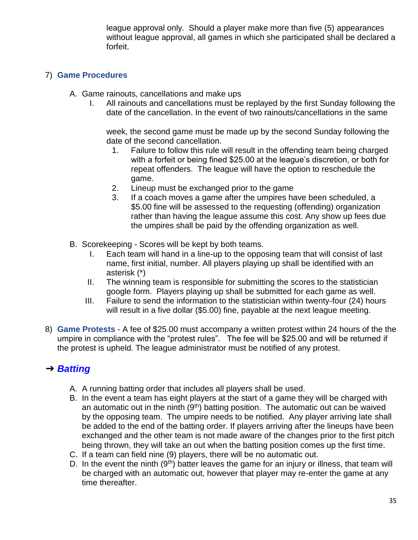league approval only. Should a player make more than five (5) appearances without league approval, all games in which she participated shall be declared a forfeit.

### 7) **Game Procedures**

- A. Game rainouts, cancellations and make ups
	- I. All rainouts and cancellations must be replayed by the first Sunday following the date of the cancellation. In the event of two rainouts/cancellations in the same

week, the second game must be made up by the second Sunday following the date of the second cancellation.

- 1. Failure to follow this rule will result in the offending team being charged with a forfeit or being fined \$25.00 at the league's discretion, or both for repeat offenders. The league will have the option to reschedule the game.
- 2. Lineup must be exchanged prior to the game
- 3. If a coach moves a game after the umpires have been scheduled, a \$5.00 fine will be assessed to the requesting (offending) organization rather than having the league assume this cost. Any show up fees due the umpires shall be paid by the offending organization as well.
- B. Scorekeeping Scores will be kept by both teams.
	- I. Each team will hand in a line-up to the opposing team that will consist of last name, first initial, number. All players playing up shall be identified with an asterisk (\*)
	- II. The winning team is responsible for submitting the scores to the statistician google form. Players playing up shall be submitted for each game as well.
	- III. Failure to send the information to the statistician within twenty-four (24) hours will result in a five dollar (\$5.00) fine, payable at the next league meeting.
- 8) **Game Protests** A fee of \$25.00 must accompany a written protest within 24 hours of the the umpire in compliance with the "protest rules". The fee will be \$25.00 and will be returned if the protest is upheld. The league administrator must be notified of any protest.

# ➔ *Batting*

- A. A running batting order that includes all players shall be used.
- B. In the event a team has eight players at the start of a game they will be charged with an automatic out in the ninth  $(9<sup>th</sup>)$  batting position. The automatic out can be waived by the opposing team. The umpire needs to be notified. Any player arriving late shall be added to the end of the batting order. If players arriving after the lineups have been exchanged and the other team is not made aware of the changes prior to the first pitch being thrown, they will take an out when the batting position comes up the first time.
- C. If a team can field nine (9) players, there will be no automatic out.
- D. In the event the ninth  $(9<sup>th</sup>)$  batter leaves the game for an injury or illness, that team will be charged with an automatic out, however that player may re-enter the game at any time thereafter.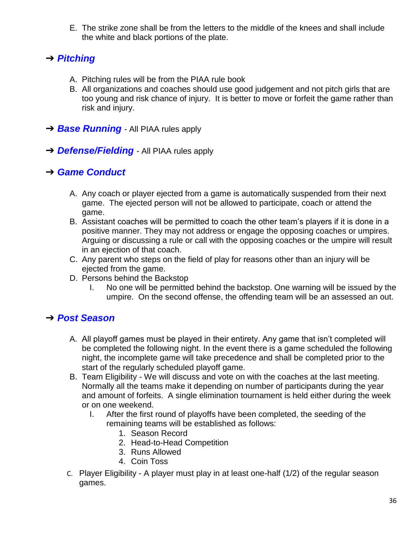E. The strike zone shall be from the letters to the middle of the knees and shall include the white and black portions of the plate.

# ➔ *Pitching*

- A. Pitching rules will be from the PIAA rule book
- B. All organizations and coaches should use good judgement and not pitch girls that are too young and risk chance of injury. It is better to move or forfeit the game rather than risk and injury.
- **→ Base Running** All PIAA rules apply
- ➔ *Defense/Fielding -* All PIAA rules apply

## ➔ *Game Conduct*

- A. Any coach or player ejected from a game is automatically suspended from their next game. The ejected person will not be allowed to participate, coach or attend the game.
- B. Assistant coaches will be permitted to coach the other team's players if it is done in a positive manner. They may not address or engage the opposing coaches or umpires. Arguing or discussing a rule or call with the opposing coaches or the umpire will result in an ejection of that coach.
- C. Any parent who steps on the field of play for reasons other than an injury will be ejected from the game.
- D. Persons behind the Backstop
	- I. No one will be permitted behind the backstop. One warning will be issued by the umpire. On the second offense, the offending team will be an assessed an out.

# ➔ *Post Season*

- A. All playoff games must be played in their entirety. Any game that isn't completed will be completed the following night. In the event there is a game scheduled the following night, the incomplete game will take precedence and shall be completed prior to the start of the regularly scheduled playoff game.
- B. Team Eligibility We will discuss and vote on with the coaches at the last meeting. Normally all the teams make it depending on number of participants during the year and amount of forfeits. A single elimination tournament is held either during the week or on one weekend.
	- I. After the first round of playoffs have been completed, the seeding of the remaining teams will be established as follows:
		- 1. Season Record
		- 2. Head-to-Head Competition
		- 3. Runs Allowed
		- 4. Coin Toss
- C. Player Eligibility A player must play in at least one-half (1/2) of the regular season games.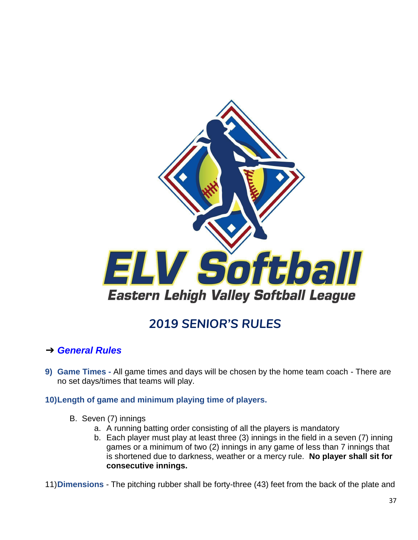

# *2019 SENIOR'S RULES*

## <span id="page-36-0"></span>➔ *General Rules*

**9) Game Times -** All game times and days will be chosen by the home team coach - There are no set days/times that teams will play.

#### **10)Length of game and minimum playing time of players.**

- B. Seven (7) innings
	- a. A running batting order consisting of all the players is mandatory
	- b. Each player must play at least three (3) innings in the field in a seven (7) inning games or a minimum of two (2) innings in any game of less than 7 innings that is shortened due to darkness, weather or a mercy rule. **No player shall sit for consecutive innings.**

11)**Dimensions** - The pitching rubber shall be forty-three (43) feet from the back of the plate and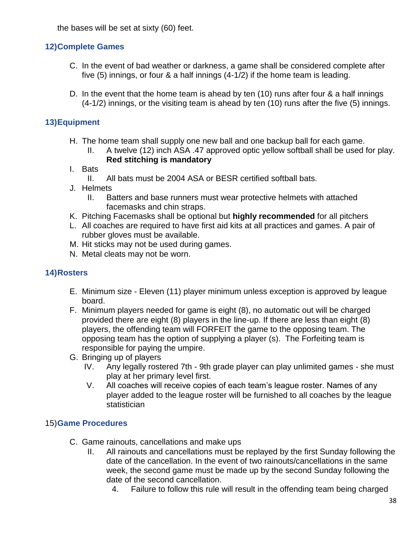the bases will be set at sixty (60) feet.

### **12)Complete Games**

- C. In the event of bad weather or darkness, a game shall be considered complete after five (5) innings, or four & a half innings (4-1/2) if the home team is leading.
- D. In the event that the home team is ahead by ten (10) runs after four & a half innings (4-1/2) innings, or the visiting team is ahead by ten (10) runs after the five (5) innings.

### **13)Equipment**

- H. The home team shall supply one new ball and one backup ball for each game.
	- II. A twelve (12) inch ASA .47 approved optic yellow softball shall be used for play. **Red stitching is mandatory**
- I. Bats
	- II. All bats must be 2004 ASA or BESR certified softball bats.
- J. Helmets
	- II. Batters and base runners must wear protective helmets with attached facemasks and chin straps.
- K. Pitching Facemasks shall be optional but **highly recommended** for all pitchers
- L. All coaches are required to have first aid kits at all practices and games. A pair of rubber gloves must be available.
- M. Hit sticks may not be used during games.
- N. Metal cleats may not be worn.

### **14)Rosters**

- E. Minimum size Eleven (11) player minimum unless exception is approved by league board.
- F. Minimum players needed for game is eight (8), no automatic out will be charged provided there are eight (8) players in the line-up. If there are less than eight (8) players, the offending team will FORFEIT the game to the opposing team. The opposing team has the option of supplying a player (s). The Forfeiting team is responsible for paying the umpire.
- G. Bringing up of players
	- IV. Any legally rostered 7th 9th grade player can play unlimited games she must play at her primary level first.
	- V. All coaches will receive copies of each team's league roster. Names of any player added to the league roster will be furnished to all coaches by the league statistician

### 15)**Game Procedures**

- C. Game rainouts, cancellations and make ups
	- II. All rainouts and cancellations must be replayed by the first Sunday following the date of the cancellation. In the event of two rainouts/cancellations in the same week, the second game must be made up by the second Sunday following the date of the second cancellation.
		- 4. Failure to follow this rule will result in the offending team being charged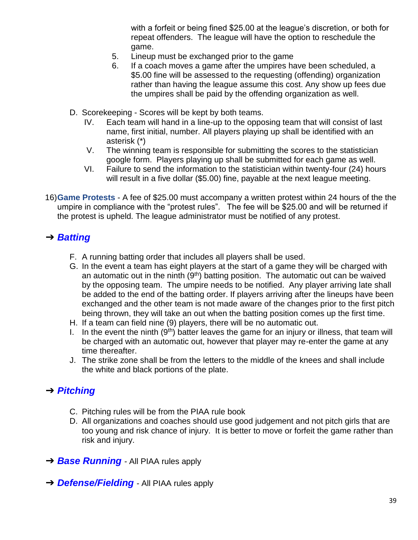with a forfeit or being fined \$25.00 at the league's discretion, or both for repeat offenders. The league will have the option to reschedule the game.

- 5. Lineup must be exchanged prior to the game
- 6. If a coach moves a game after the umpires have been scheduled, a \$5.00 fine will be assessed to the requesting (offending) organization rather than having the league assume this cost. Any show up fees due the umpires shall be paid by the offending organization as well.
- D. Scorekeeping Scores will be kept by both teams.
	- IV. Each team will hand in a line-up to the opposing team that will consist of last name, first initial, number. All players playing up shall be identified with an asterisk (\*)
	- V. The winning team is responsible for submitting the scores to the statistician google form. Players playing up shall be submitted for each game as well.
	- VI. Failure to send the information to the statistician within twenty-four (24) hours will result in a five dollar (\$5.00) fine, payable at the next league meeting.
- 16)**Game Protests** A fee of \$25.00 must accompany a written protest within 24 hours of the the umpire in compliance with the "protest rules". The fee will be \$25.00 and will be returned if the protest is upheld. The league administrator must be notified of any protest.

## ➔ *Batting*

- F. A running batting order that includes all players shall be used.
- G. In the event a team has eight players at the start of a game they will be charged with an automatic out in the ninth  $(9<sup>th</sup>)$  batting position. The automatic out can be waived by the opposing team. The umpire needs to be notified. Any player arriving late shall be added to the end of the batting order. If players arriving after the lineups have been exchanged and the other team is not made aware of the changes prior to the first pitch being thrown, they will take an out when the batting position comes up the first time.
- H. If a team can field nine (9) players, there will be no automatic out.
- I. In the event the ninth  $(9<sup>th</sup>)$  batter leaves the game for an injury or illness, that team will be charged with an automatic out, however that player may re-enter the game at any time thereafter.
- J. The strike zone shall be from the letters to the middle of the knees and shall include the white and black portions of the plate.

## ➔ *Pitching*

- C. Pitching rules will be from the PIAA rule book
- D. All organizations and coaches should use good judgement and not pitch girls that are too young and risk chance of injury. It is better to move or forfeit the game rather than risk and injury.
- **→ Base Running** All PIAA rules apply
- **→ Defense/Fielding** All PIAA rules apply